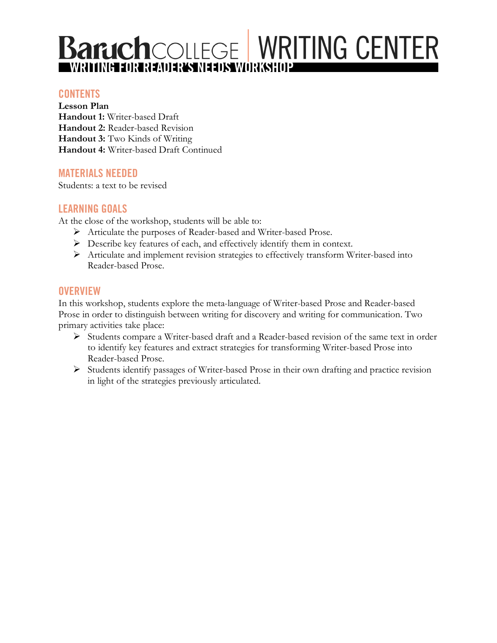# **Baruch**COLLEGE WRITING CENTER

### **CONTENTS**

**Lesson Plan Handout 1:** Writer-based Draft **Handout 2:** Reader-based Revision **Handout 3:** Two Kinds of Writing **Handout 4:** Writer-based Draft Continued

## **MATERIALS NEEDED**

Students: a text to be revised

# **LEARNING GOALS**

At the close of the workshop, students will be able to:

- Ø Articulate the purposes of Reader-based and Writer-based Prose.
- Ø Describe key features of each, and effectively identify them in context.
- Ø Articulate and implement revision strategies to effectively transform Writer-based into Reader-based Prose.

## **OVERVIEW**

In this workshop, students explore the meta-language of Writer-based Prose and Reader-based Prose in order to distinguish between writing for discovery and writing for communication. Two primary activities take place:

- Ø Students compare a Writer-based draft and a Reader-based revision of the same text in order to identify key features and extract strategies for transforming Writer-based Prose into Reader-based Prose.
- Ø Students identify passages of Writer-based Prose in their own drafting and practice revision in light of the strategies previously articulated.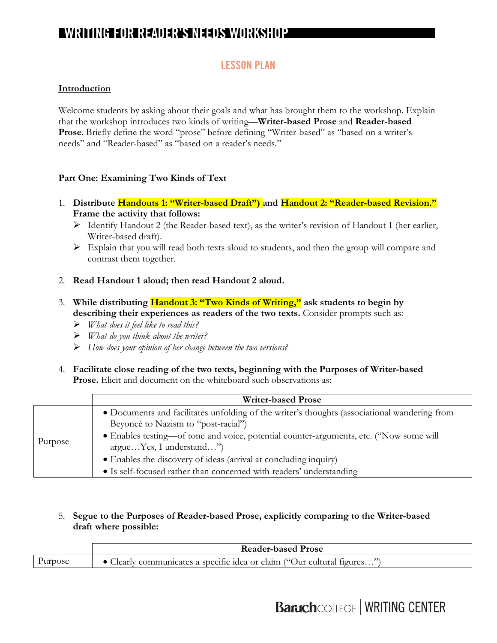## **LESSON PLAN**

#### **Introduction**

Welcome students by asking about their goals and what has brought them to the workshop. Explain that the workshop introduces two kinds of writing—**Writer-based Prose** and **Reader-based Prose**. Briefly define the word "prose" before defining "Writer-based" as "based on a writer's needs" and "Reader-based" as "based on a reader's needs."

#### **Part One: Examining Two Kinds of Text**

- 1. **Distribute Handouts 1: "Writer-based Draft") and Handout 2: "Reader-based Revision." Frame the activity that follows:** 
	- Ø Identify Handout 2 (the Reader-based text), as the writer's revision of Handout 1 (her earlier, Writer-based draft).
	- Ø Explain that you will read both texts aloud to students, and then the group will compare and contrast them together.
- 2. **Read Handout 1 aloud; then read Handout 2 aloud.**
- 3. **While distributing Handout 3: "Two Kinds of Writing," ask students to begin by**  describing their experiences as readers of the two texts. Consider prompts such as:
	- Ø *What does it feel like to read this?*
	- Ø *What do you think about the writer?*
	- Ø *How does your opinion of her change between the two versions?*
- 4. **Facilitate close reading of the two texts, beginning with the Purposes of Writer-based Prose.** Elicit and document on the whiteboard such observations as:

| • Documents and facilitates unfolding of the writer's thoughts (associational wandering from<br>Beyoncé to Nazism to "post-racial")<br>• Enables testing—of tone and voice, potential counter-arguments, etc. ("Now some will<br>Purpose<br>argueYes, I understand") | <b>Writer-based Prose</b>                                        |
|----------------------------------------------------------------------------------------------------------------------------------------------------------------------------------------------------------------------------------------------------------------------|------------------------------------------------------------------|
| • Is self-focused rather than concerned with readers' understanding                                                                                                                                                                                                  | • Enables the discovery of ideas (arrival at concluding inquiry) |

5. **Segue to the Purposes of Reader-based Prose, explicitly comparing to the Writer-based draft where possible:**

|         | <b>Reader-based Prose</b>                                             |  |  |
|---------|-----------------------------------------------------------------------|--|--|
| Purpose | Clearly communicates a specific idea or claim ("Our cultural figures" |  |  |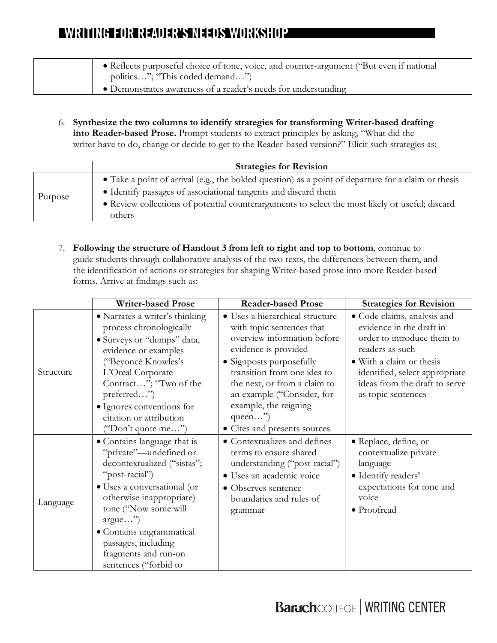- Reflects purposeful choice of tone, voice, and counter-argument ("But even if national politics…"; "This coded demand…") • Demonstrates awareness of a reader's needs for understanding
	- 6. **Synthesize the two columns to identify strategies for transforming Writer-based drafting into Reader-based Prose.** Prompt students to extract principles by asking, "What did the writer have to do, change or decide to get to the Reader-based version?" Elicit such strategies as:

|         | <b>Strategies for Revision</b>                                                                            |
|---------|-----------------------------------------------------------------------------------------------------------|
| Purpose | • Take a point of arrival (e.g., the bolded question) as a point of departure for a claim or thesis       |
|         | • Identify passages of associational tangents and discard them                                            |
|         | • Review collections of potential counterarguments to select the most likely or useful; discard<br>others |

7. **Following the structure of Handout 3 from left to right and top to bottom**, continue to guide students through collaborative analysis of the two texts, the differences between them, and the identification of actions or strategies for shaping Writer-based prose into more Reader-based forms. Arrive at findings such as:

|           | <b>Writer-based Prose</b>                                                                                                                                                                                                                                                                                   | <b>Reader-based Prose</b>                                                                                                                                                                 | <b>Strategies for Revision</b>                                                                                                         |
|-----------|-------------------------------------------------------------------------------------------------------------------------------------------------------------------------------------------------------------------------------------------------------------------------------------------------------------|-------------------------------------------------------------------------------------------------------------------------------------------------------------------------------------------|----------------------------------------------------------------------------------------------------------------------------------------|
| Structure | • Narrates a writer's thinking<br>process chronologically<br>• Surveys or "dumps" data,<br>evidence or examples                                                                                                                                                                                             | • Uses a hierarchical structure<br>with topic sentences that<br>overview information before<br>evidence is provided                                                                       | • Code claims, analysis and<br>evidence in the draft in<br>order to introduce them to<br>readers as such                               |
|           | ("Beyoncé Knowles's<br>L'Oreal Corporate<br>Contract"; "Two of the<br>preferred")<br>· Ignores conventions for<br>citation or attribution<br>"Don't quote me")                                                                                                                                              | • Signposts purposefully<br>transition from one idea to<br>the next, or from a claim to<br>an example ("Consider, for<br>example, the reigning<br>queen")<br>• Cites and presents sources | • With a claim or thesis<br>identified, select appropriate<br>ideas from the draft to serve<br>as topic sentences                      |
| Language  | • Contains language that is<br>"private"—undefined or<br>decontextualized ("sistas";<br>"post-racial")<br>• Uses a conversational (or<br>otherwise inappropriate)<br>tone ("Now some will<br>$argue$ ")<br>· Contains ungrammatical<br>passages, including<br>fragments and run-on<br>sentences ("forbid to | • Contextualizes and defines<br>terms to ensure shared<br>understanding ("post-racial")<br>· Uses an academic voice<br>• Observes sentence<br>boundaries and rules of<br>grammar          | • Replace, define, or<br>contextualize private<br>language<br>· Identify readers'<br>expectations for tone and<br>voice<br>• Proofread |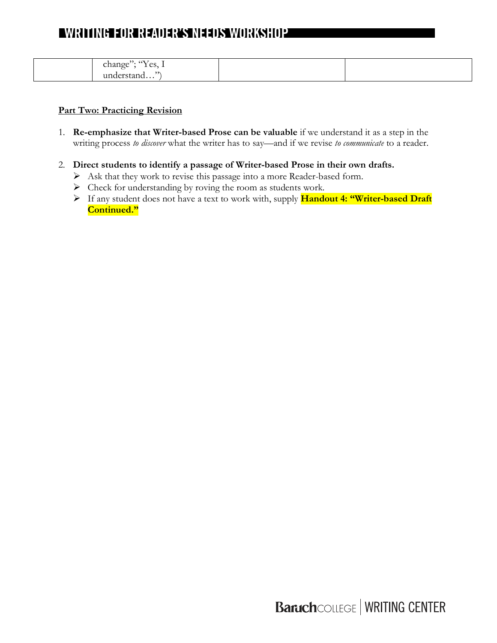| $\sqrt{1}$<br>$\bullet$<br>$\overline{\phantom{a}}$<br>$\cdots$                 |  |
|---------------------------------------------------------------------------------|--|
| $\sim$ $\sim$<br>change<br>$\sim$ $\sim$<br>$\overline{\phantom{a}}$<br>.<br>__ |  |
| 22<br>$\mathbf{u}$                                                              |  |
| чи                                                                              |  |

#### **Part Two: Practicing Revision**

- 1. **Re-emphasize that Writer-based Prose can be valuable** if we understand it as a step in the writing process *to discover* what the writer has to say—and if we revise *to communicate* to a reader.
- 2. **Direct students to identify a passage of Writer-based Prose in their own drafts.** 
	- Ø Ask that they work to revise this passage into a more Reader-based form.
	- $\triangleright$  Check for understanding by roving the room as students work.
	- Ø If any student does not have a text to work with, supply **Handout 4: "Writer-based Draft Continued."**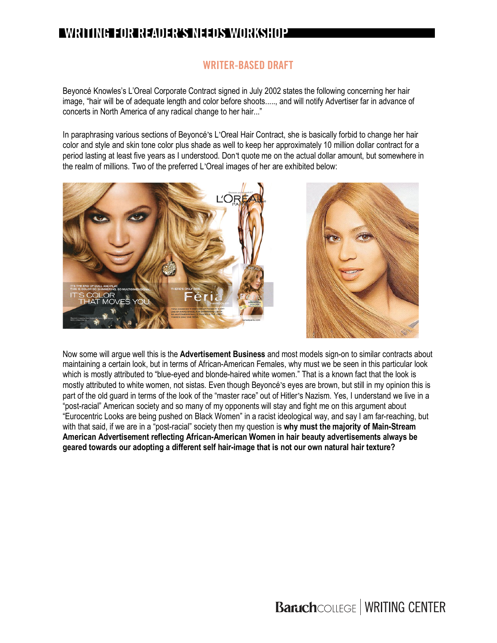# **WRITER-BASED DRAFT**

Beyoncé Knowles's L'Oreal Corporate Contract signed in July 2002 states the following concerning her hair image, "hair will be of adequate length and color before shoots....., and will notify Advertiser far in advance of concerts in North America of any radical change to her hair..."

In paraphrasing various sections of Beyoncé's L'Oreal Hair Contract, she is basically forbid to change her hair color and style and skin tone color plus shade as well to keep her approximately 10 million dollar contract for a period lasting at least five years as I understood. Don't quote me on the actual dollar amount, but somewhere in the realm of millions. Two of the preferred L'Oreal images of her are exhibited below:





Now some will argue well this is the **Advertisement Business** and most models sign-on to similar contracts about maintaining a certain look, but in terms of African-American Females, why must we be seen in this particular look which is mostly attributed to "blue-eyed and blonde-haired white women." That is a known fact that the look is mostly attributed to white women, not sistas. Even though Beyoncé's eyes are brown, but still in my opinion this is part of the old guard in terms of the look of the "master race" out of Hitler's Nazism. Yes, I understand we live in a "post-racial" American society and so many of my opponents will stay and fight me on this argument about "Eurocentric Looks are being pushed on Black Women" in a racist ideological way, and say I am far-reaching, but with that said, if we are in a "post-racial" society then my question is **why must the majority of Main-Stream American Advertisement reflecting African-American Women in hair beauty advertisements always be geared towards our adopting a different self hair-image that is not our own natural hair texture?**

**Baruch**COLLEGE | WRITING CENTER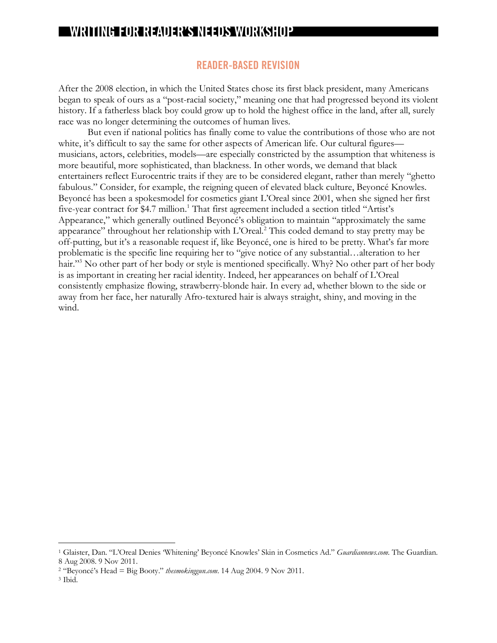#### **READER-BASED REVISION**

After the 2008 election, in which the United States chose its first black president, many Americans began to speak of ours as a "post-racial society," meaning one that had progressed beyond its violent history. If a fatherless black boy could grow up to hold the highest office in the land, after all, surely race was no longer determining the outcomes of human lives.

But even if national politics has finally come to value the contributions of those who are not white, it's difficult to say the same for other aspects of American life. Our cultural figures musicians, actors, celebrities, models—are especially constricted by the assumption that whiteness is more beautiful, more sophisticated, than blackness. In other words, we demand that black entertainers reflect Eurocentric traits if they are to be considered elegant, rather than merely "ghetto fabulous." Consider, for example, the reigning queen of elevated black culture, Beyoncé Knowles. Beyoncé has been a spokesmodel for cosmetics giant L'Oreal since 2001, when she signed her first five-year contract for \$4.7 million.<sup>1</sup> That first agreement included a section titled "Artist's Appearance," which generally outlined Beyoncé's obligation to maintain "approximately the same appearance" throughout her relationship with L'Oreal.<sup>2</sup> This coded demand to stay pretty may be off-putting, but it's a reasonable request if, like Beyoncé, one is hired to be pretty. What's far more problematic is the specific line requiring her to "give notice of any substantial…alteration to her hair."3 No other part of her body or style is mentioned specifically. Why? No other part of her body is as important in creating her racial identity. Indeed, her appearances on behalf of L'Oreal consistently emphasize flowing, strawberry-blonde hair. In every ad, whether blown to the side or away from her face, her naturally Afro-textured hair is always straight, shiny, and moving in the wind.

 <sup>1</sup> Glaister, Dan. "L'Oreal Denies 'Whitening' Beyoncé Knowles' Skin in Cosmetics Ad." *Guardiannews.com*. The Guardian. 8 Aug 2008. 9 Nov 2011.

<sup>2</sup> "Beyoncé's Head = Big Booty." *thesmokinggun.com*. 14 Aug 2004. 9 Nov 2011.

<sup>3</sup> Ibid.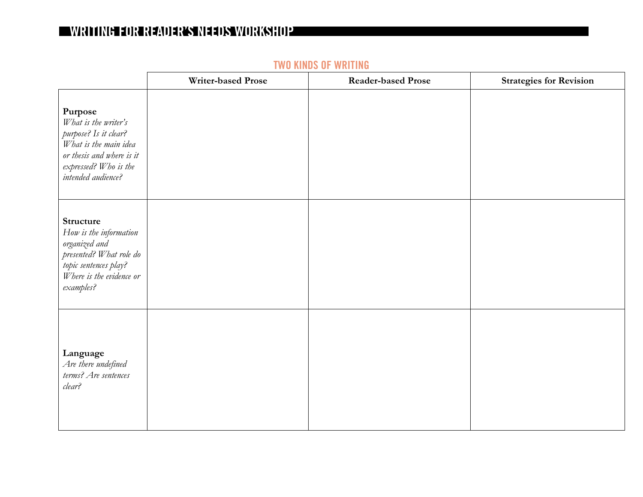|                                                                                                                                                               | <b>Writer-based Prose</b> | <b>Reader-based Prose</b> | <b>Strategies for Revision</b> |
|---------------------------------------------------------------------------------------------------------------------------------------------------------------|---------------------------|---------------------------|--------------------------------|
| Purpose<br>What is the writer's<br>purpose? Is it clear?<br>What is the main idea<br>or thesis and where is it<br>expressed? Who is the<br>intended audience? |                           |                           |                                |
| Structure<br>How is the information<br>organized and<br>presented? What role do<br>topic sentences play?<br>Where is the evidence or<br>examples?             |                           |                           |                                |
| Language<br>Are there undefined<br>terms? Are sentences<br>clear?                                                                                             |                           |                           |                                |

# **TWO KINDS OF WRITING**